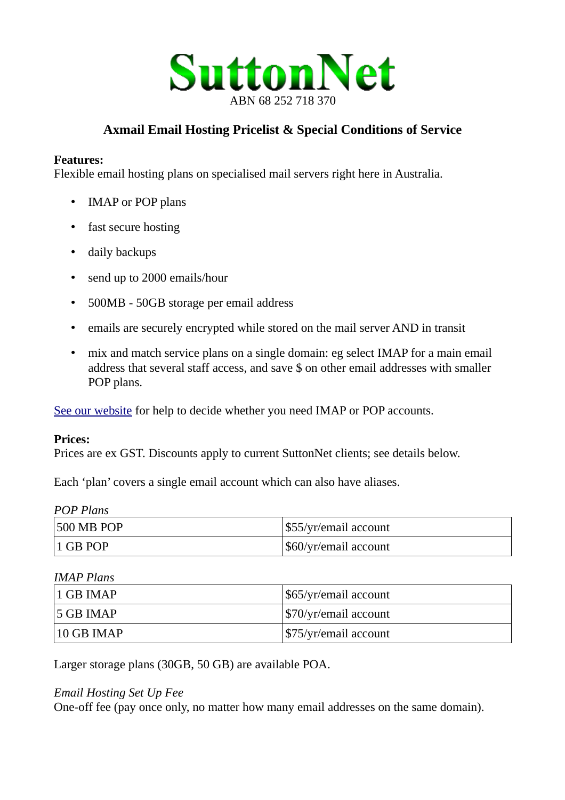

# **Axmail Email Hosting Pricelist & Special Conditions of Service**

#### **Features:**

Flexible email hosting plans on specialised mail servers right here in Australia.

- IMAP or POP plans
- fast secure hosting
- daily backups
- send up to 2000 emails/hour
- 500MB 50GB storage per email address
- emails are securely encrypted while stored on the mail server AND in transit
- mix and match service plans on a single domain: eg select IMAP for a main email address that several staff access, and save \$ on other email addresses with smaller POP plans.

[See our website](https://suttonnetwebdesign.com.au/Email-IMAP-or-POP-Comparison-Chart.php) for help to decide whether you need IMAP or POP accounts.

#### **Prices:**

Prices are ex GST. Discounts apply to current SuttonNet clients; see details below.

Each 'plan' covers a single email account which can also have aliases.

| <b>500 MB POP</b> | \$55/yr/email account |
|-------------------|-----------------------|
| $\vert$ 1 GB POP  | \$60/yr/email account |

*IMAP Plans*

| $\vert$ 1 GB IMAP | \$65/yr/email account               |
|-------------------|-------------------------------------|
| $15$ GB IMAP      | $\frac{1}{2}$ \$70/yr/email account |
| $10$ GB IMAP      | $\frac{575}{yr/email}$ account      |

Larger storage plans (30GB, 50 GB) are available POA.

#### *Email Hosting Set Up Fee*

One-off fee (pay once only, no matter how many email addresses on the same domain).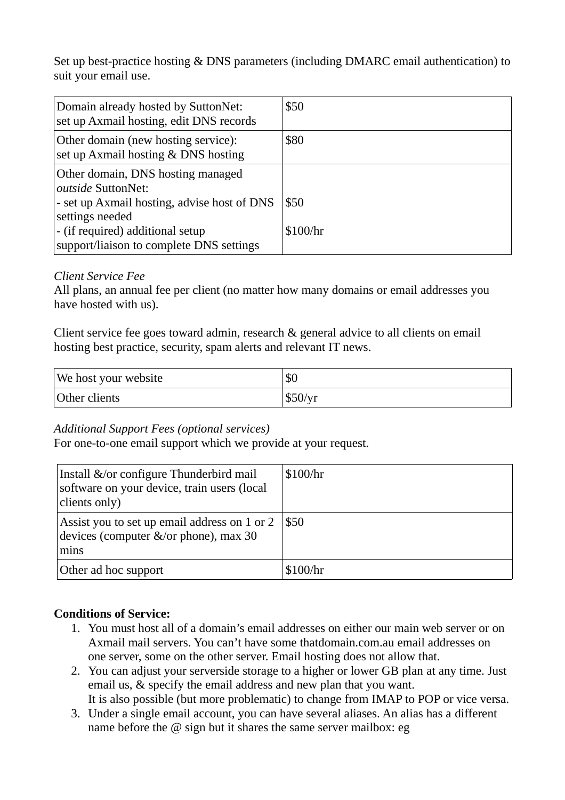Set up best-practice hosting & DNS parameters (including DMARC email authentication) to suit your email use.

| Domain already hosted by SuttonNet:<br>set up Axmail hosting, edit DNS records                                            | \$50     |
|---------------------------------------------------------------------------------------------------------------------------|----------|
| Other domain (new hosting service):<br>set up Axmail hosting & DNS hosting                                                | \$80     |
| Other domain, DNS hosting managed<br>outside SuttonNet:<br>- set up Axmail hosting, advise host of DNS<br>settings needed | \$50     |
| - (if required) additional setup<br>support/liaison to complete DNS settings                                              | \$100/hr |

#### *Client Service Fee*

All plans, an annual fee per client (no matter how many domains or email addresses you have hosted with us).

Client service fee goes toward admin, research & general advice to all clients on email hosting best practice, security, spam alerts and relevant IT news.

| We host your website | \$0     |
|----------------------|---------|
| Other clients        | \$50/yr |

### *Additional Support Fees (optional services)*

For one-to-one email support which we provide at your request.

| Install &/or configure Thunderbird mail<br>software on your device, train users (local<br>clients only) | \$100/hr |
|---------------------------------------------------------------------------------------------------------|----------|
| Assist you to set up email address on 1 or 2<br>devices (computer $&\sqrt{or}$ phone), max 30<br>mins   | \$50     |
| Other ad hoc support                                                                                    | \$100/hr |

### **Conditions of Service:**

- 1. You must host all of a domain's email addresses on either our main web server or on Axmail mail servers. You can't have some thatdomain.com.au email addresses on one server, some on the other server. Email hosting does not allow that.
- 2. You can adjust your serverside storage to a higher or lower GB plan at any time. Just email us, & specify the email address and new plan that you want. It is also possible (but more problematic) to change from IMAP to POP or vice versa.
- 3. Under a single email account, you can have several aliases. An alias has a different name before the  $\omega$  sign but it shares the same server mailbox: eg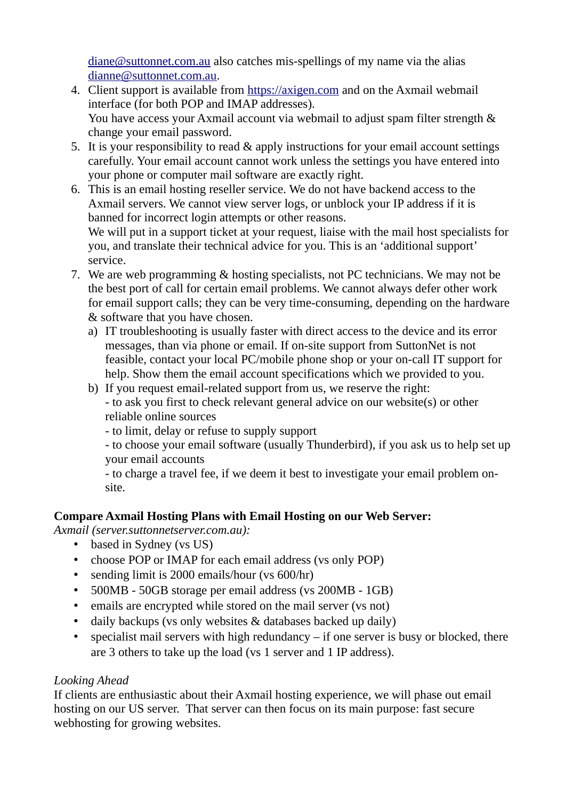$d$ iane@suttonnet.com.au also catches mis-spellings of my name via the alias [dianne@suttonnet.com.au.](mailto:dianne@suttonnet.com.au)

- 4. Client support is available from [https://axigen.com](https://axigen.com/) and on the Axmail webmail interface (for both POP and IMAP addresses). You have access your Axmail account via webmail to adjust spam filter strength & change your email password.
- 5. It is your responsibility to read & apply instructions for your email account settings carefully. Your email account cannot work unless the settings you have entered into your phone or computer mail software are exactly right.
- 6. This is an email hosting reseller service. We do not have backend access to the Axmail servers. We cannot view server logs, or unblock your IP address if it is banned for incorrect login attempts or other reasons. We will put in a support ticket at your request, liaise with the mail host specialists for you, and translate their technical advice for you. This is an 'additional support' service.
- 7. We are web programming & hosting specialists, not PC technicians. We may not be the best port of call for certain email problems. We cannot always defer other work for email support calls; they can be very time-consuming, depending on the hardware & software that you have chosen.
	- a) IT troubleshooting is usually faster with direct access to the device and its error messages, than via phone or email. If on-site support from SuttonNet is not feasible, contact your local PC/mobile phone shop or your on-call IT support for help. Show them the email account specifications which we provided to you.
	- b) If you request email-related support from us, we reserve the right: - to ask you first to check relevant general advice on our website(s) or other reliable online sources
		- to limit, delay or refuse to supply support

- to choose your email software (usually Thunderbird), if you ask us to help set up your email accounts

- to charge a travel fee, if we deem it best to investigate your email problem onsite.

## **Compare Axmail Hosting Plans with Email Hosting on our Web Server:**

*Axmail (server.suttonnetserver.com.au):*

- based in Sydney (vs US)
- choose POP or IMAP for each email address (vs only POP)
- sending limit is 2000 emails/hour (vs 600/hr)
- 500MB 50GB storage per email address (vs 200MB 1GB)
- emails are encrypted while stored on the mail server (vs not)
- daily backups (vs only websites & databases backed up daily)
- specialist mail servers with high redundancy  $-$  if one server is busy or blocked, there are 3 others to take up the load (vs 1 server and 1 IP address).

## *Looking Ahead*

If clients are enthusiastic about their Axmail hosting experience, we will phase out email hosting on our US server. That server can then focus on its main purpose: fast secure webhosting for growing websites.